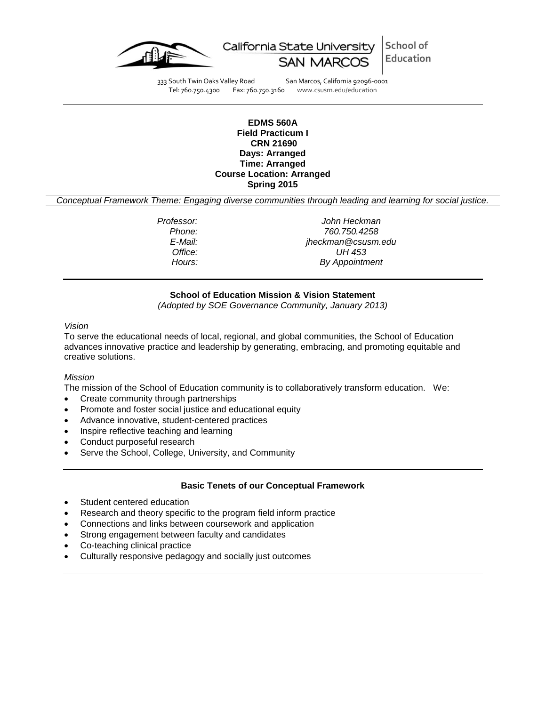



333 South Twin Oaks Valley Road San Marcos, California 92096-0001<br>Tel: 760.750.4300 Fax: 760.750.3160 www.csusm.edu/education

www.csusm.edu/education

#### **EDMS 560A Field Practicum I CRN 21690 Days: Arranged Time: Arranged Course Location: Arranged Spring 2015**

*Conceptual Framework Theme: Engaging diverse communities through leading and learning for social justice.*

*Professor: John Heckman Phone: 760.750.4258 E-Mail: jheckman@csusm.edu Office: UH 453 Hours: By Appointment* 

# **School of Education Mission & Vision Statement**

*(Adopted by SOE Governance Community, January 2013)*

#### *Vision*

To serve the educational needs of local, regional, and global communities, the School of Education advances innovative practice and leadership by generating, embracing, and promoting equitable and creative solutions.

#### *Mission*

The mission of the School of Education community is to collaboratively transform education. We:

- Create community through partnerships
- Promote and foster social justice and educational equity
- Advance innovative, student-centered practices
- Inspire reflective teaching and learning
- Conduct purposeful research
- Serve the School, College, University, and Community

#### **Basic Tenets of our Conceptual Framework**

- Student centered education
- Research and theory specific to the program field inform practice
- Connections and links between coursework and application
- Strong engagement between faculty and candidates
- Co-teaching clinical practice
- Culturally responsive pedagogy and socially just outcomes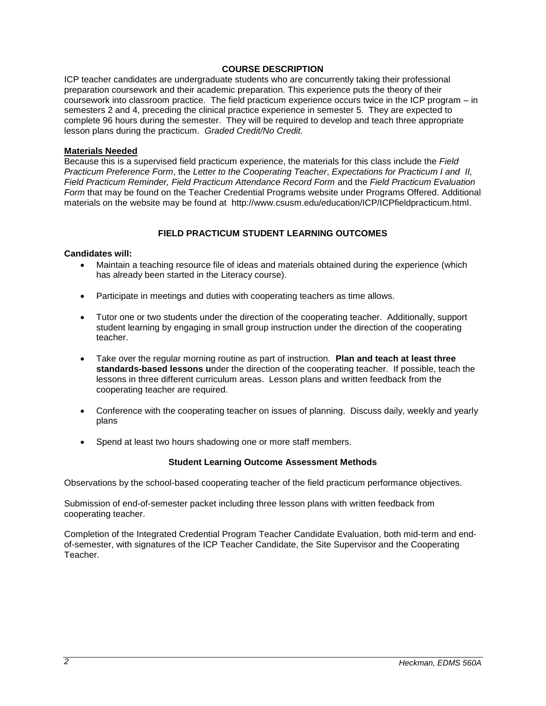# **COURSE DESCRIPTION**

ICP teacher candidates are undergraduate students who are concurrently taking their professional preparation coursework and their academic preparation. This experience puts the theory of their coursework into classroom practice. The field practicum experience occurs twice in the ICP program – in semesters 2 and 4, preceding the clinical practice experience in semester 5. They are expected to complete 96 hours during the semester. They will be required to develop and teach three appropriate lesson plans during the practicum. *Graded Credit/No Credit.* 

#### **Materials Needed**

Because this is a supervised field practicum experience, the materials for this class include the *Field Practicum Preference Form*, the *Letter to the Cooperating Teacher*, *Expectations for Practicum I and II, Field Practicum Reminder, Field Practicum Attendance Record Form* and the *Field Practicum Evaluation Form* that may be found on the Teacher Credential Programs website under Programs Offered. Additional materials on the website may be found at http://www.csusm.edu/education/ICP/ICPfieldpracticum.html.

# **FIELD PRACTICUM STUDENT LEARNING OUTCOMES**

## **Candidates will:**

- Maintain a teaching resource file of ideas and materials obtained during the experience (which has already been started in the Literacy course).
- Participate in meetings and duties with cooperating teachers as time allows.
- Tutor one or two students under the direction of the cooperating teacher. Additionally, support student learning by engaging in small group instruction under the direction of the cooperating teacher.
- Take over the regular morning routine as part of instruction. **Plan and teach at least three standards-based lessons u**nder the direction of the cooperating teacher. If possible, teach the lessons in three different curriculum areas. Lesson plans and written feedback from the cooperating teacher are required.
- Conference with the cooperating teacher on issues of planning. Discuss daily, weekly and yearly plans
- Spend at least two hours shadowing one or more staff members.

# **Student Learning Outcome Assessment Methods**

Observations by the school-based cooperating teacher of the field practicum performance objectives.

Submission of end-of-semester packet including three lesson plans with written feedback from cooperating teacher.

Completion of the Integrated Credential Program Teacher Candidate Evaluation, both mid-term and endof-semester, with signatures of the ICP Teacher Candidate, the Site Supervisor and the Cooperating Teacher.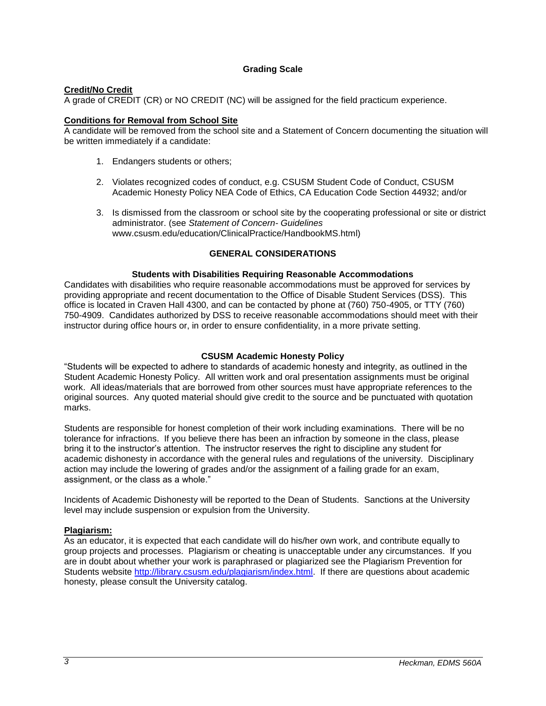# **Grading Scale**

## **Credit/No Credit**

A grade of CREDIT (CR) or NO CREDIT (NC) will be assigned for the field practicum experience.

# **Conditions for Removal from School Site**

A candidate will be removed from the school site and a Statement of Concern documenting the situation will be written immediately if a candidate:

- 1. Endangers students or others;
- 2. Violates recognized codes of conduct, e.g. CSUSM Student Code of Conduct, CSUSM Academic Honesty Policy NEA Code of Ethics, CA Education Code Section 44932; and/or
- 3. Is dismissed from the classroom or school site by the cooperating professional or site or district administrator. (see *Statement of Concern- Guidelines* www.csusm.edu/education/ClinicalPractice/HandbookMS.html)

## **GENERAL CONSIDERATIONS**

## **Students with Disabilities Requiring Reasonable Accommodations**

Candidates with disabilities who require reasonable accommodations must be approved for services by providing appropriate and recent documentation to the Office of Disable Student Services (DSS). This office is located in Craven Hall 4300, and can be contacted by phone at (760) 750-4905, or TTY (760) 750-4909. Candidates authorized by DSS to receive reasonable accommodations should meet with their instructor during office hours or, in order to ensure confidentiality, in a more private setting.

#### **CSUSM Academic Honesty Policy**

"Students will be expected to adhere to standards of academic honesty and integrity, as outlined in the Student Academic Honesty Policy. All written work and oral presentation assignments must be original work. All ideas/materials that are borrowed from other sources must have appropriate references to the original sources. Any quoted material should give credit to the source and be punctuated with quotation marks.

Students are responsible for honest completion of their work including examinations. There will be no tolerance for infractions. If you believe there has been an infraction by someone in the class, please bring it to the instructor's attention. The instructor reserves the right to discipline any student for academic dishonesty in accordance with the general rules and regulations of the university. Disciplinary action may include the lowering of grades and/or the assignment of a failing grade for an exam, assignment, or the class as a whole."

Incidents of Academic Dishonesty will be reported to the Dean of Students. Sanctions at the University level may include suspension or expulsion from the University.

# **Plagiarism:**

As an educator, it is expected that each candidate will do his/her own work, and contribute equally to group projects and processes. Plagiarism or cheating is unacceptable under any circumstances. If you are in doubt about whether your work is paraphrased or plagiarized see the Plagiarism Prevention for Students website [http://library.csusm.edu/plagiarism/index.html.](http://library.csusm.edu/plagiarism/index.html) If there are questions about academic honesty, please consult the University catalog.